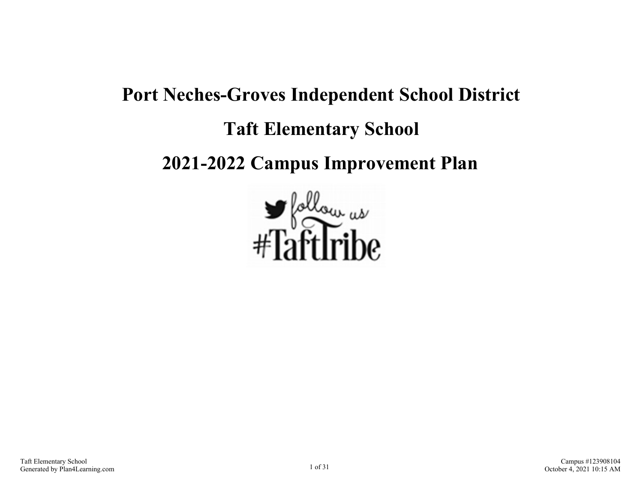# **Port Neches-Groves Independent School District Taft Elementary School 2021-2022 Campus Improvement Plan**

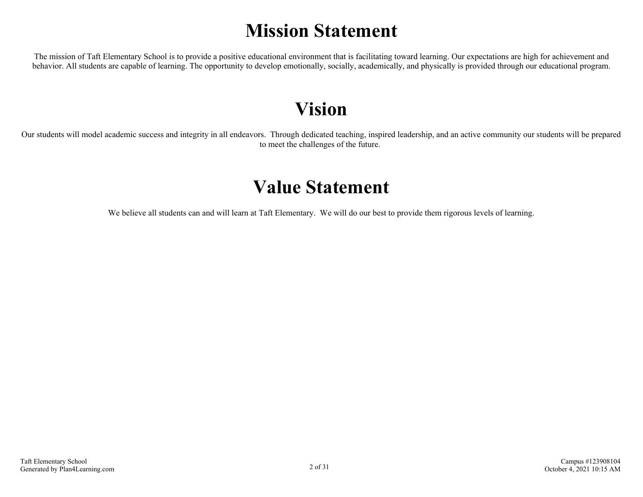## **Mission Statement**

The mission of Taft Elementary School is to provide a positive educational environment that is facilitating toward learning. Our expectations are high for achievement and behavior. All students are capable of learning. The opportunity to develop emotionally, socially, academically, and physically is provided through our educational program.

## **Vision**

Our students will model academic success and integrity in all endeavors. Through dedicated teaching, inspired leadership, and an active community our students will be prepared to meet the challenges of the future.

## **Value Statement**

We believe all students can and will learn at Taft Elementary. We will do our best to provide them rigorous levels of learning.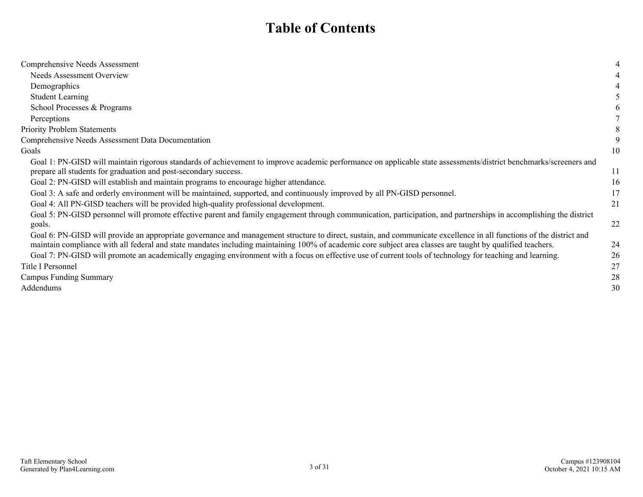## **Table of Contents**

| Comprehensive Needs Assessment                                                                                                                                                                                                                                                                                                    |    |
|-----------------------------------------------------------------------------------------------------------------------------------------------------------------------------------------------------------------------------------------------------------------------------------------------------------------------------------|----|
| <b>Needs Assessment Overview</b>                                                                                                                                                                                                                                                                                                  |    |
| Demographics                                                                                                                                                                                                                                                                                                                      |    |
| <b>Student Learning</b>                                                                                                                                                                                                                                                                                                           |    |
| School Processes & Programs                                                                                                                                                                                                                                                                                                       |    |
| Perceptions                                                                                                                                                                                                                                                                                                                       |    |
| <b>Priority Problem Statements</b>                                                                                                                                                                                                                                                                                                |    |
| Comprehensive Needs Assessment Data Documentation                                                                                                                                                                                                                                                                                 |    |
| Goals                                                                                                                                                                                                                                                                                                                             | 10 |
| Goal 1: PN-GISD will maintain rigorous standards of achievement to improve academic performance on applicable state assessments/district benchmarks/screeners and<br>prepare all students for graduation and post-secondary success.                                                                                              | 11 |
| Goal 2: PN-GISD will establish and maintain programs to encourage higher attendance.                                                                                                                                                                                                                                              | 16 |
| Goal 3: A safe and orderly environment will be maintained, supported, and continuously improved by all PN-GISD personnel.                                                                                                                                                                                                         | 17 |
| Goal 4: All PN-GISD teachers will be provided high-quality professional development.                                                                                                                                                                                                                                              | 21 |
| Goal 5: PN-GISD personnel will promote effective parent and family engagement through communication, participation, and partnerships in accomplishing the district<br>goals.                                                                                                                                                      | 22 |
| Goal 6: PN-GISD will provide an appropriate governance and management structure to direct, sustain, and communicate excellence in all functions of the district and<br>maintain compliance with all federal and state mandates including maintaining 100% of academic core subject area classes are taught by qualified teachers. | 24 |
| Goal 7: PN-GISD will promote an academically engaging environment with a focus on effective use of current tools of technology for teaching and learning.                                                                                                                                                                         | 26 |
| Title I Personnel                                                                                                                                                                                                                                                                                                                 | 27 |
| <b>Campus Funding Summary</b>                                                                                                                                                                                                                                                                                                     | 28 |
| Addendums                                                                                                                                                                                                                                                                                                                         | 30 |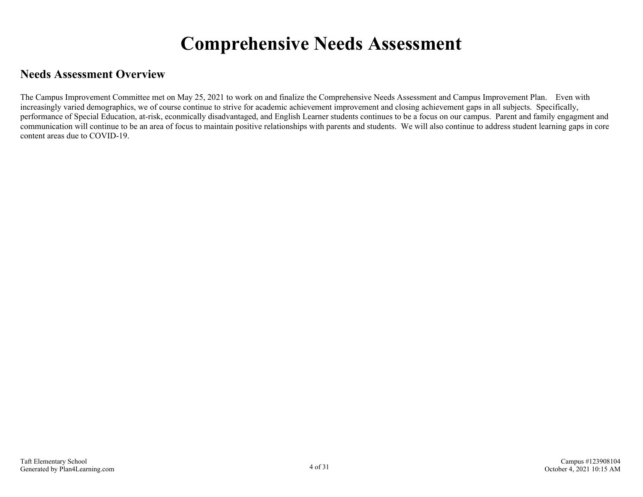## **Comprehensive Needs Assessment**

## <span id="page-3-0"></span>**Needs Assessment Overview**

The Campus Improvement Committee met on May 25, 2021 to work on and finalize the Comprehensive Needs Assessment and Campus Improvement Plan. Even with increasingly varied demographics, we of course continue to strive for academic achievement improvement and closing achievement gaps in all subjects. Specifically, performance of Special Education, at-risk, econmically disadvantaged, and English Learner students continues to be a focus on our campus. Parent and family engagment and communication will continue to be an area of focus to maintain positive relationships with parents and students. We will also continue to address student learning gaps in core content areas due to COVID-19.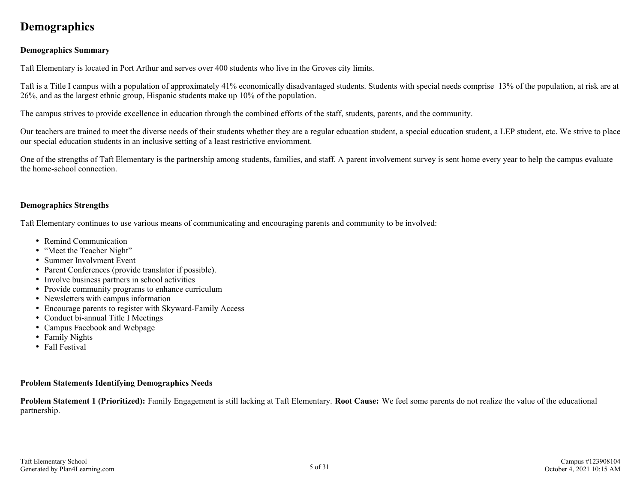## <span id="page-4-0"></span>**Demographics**

### **Demographics Summary**

Taft Elementary is located in Port Arthur and serves over 400 students who live in the Groves city limits.

Taft is a Title I campus with a population of approximately 41% economically disadvantaged students. Students with special needs comprise 13% of the population, at risk are at 26%, and as the largest ethnic group, Hispanic students make up 10% of the population.

The campus strives to provide excellence in education through the combined efforts of the staff, students, parents, and the community.

Our teachers are trained to meet the diverse needs of their students whether they are a regular education student, a special education student, a LEP student, etc. We strive to place our special education students in an inclusive setting of a least restrictive enviornment.

One of the strengths of Taft Elementary is the partnership among students, families, and staff. A parent involvement survey is sent home every year to help the campus evaluate the home-school connection.

### **Demographics Strengths**

Taft Elementary continues to use various means of communicating and encouraging parents and community to be involved:

- Remind Communication
- "Meet the Teacher Night"
- Summer Involvment Event
- Parent Conferences (provide translator if possible).
- Involve business partners in school activities
- Provide community programs to enhance curriculum
- Newsletters with campus information
- Encourage parents to register with Skyward-Family Access
- Conduct bi-annual Title I Meetings
- Campus Facebook and Webpage
- Family Nights
- Fall Festival

#### **Problem Statements Identifying Demographics Needs**

**Problem Statement 1 (Prioritized):** Family Engagement is still lacking at Taft Elementary. **Root Cause:** We feel some parents do not realize the value of the educational partnership.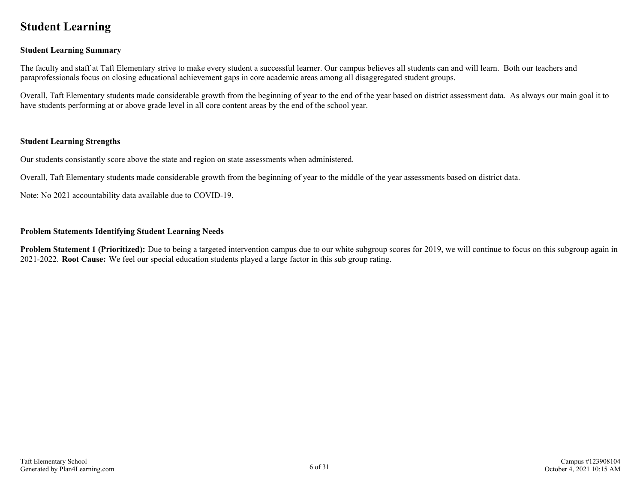## <span id="page-5-0"></span>**Student Learning**

### **Student Learning Summary**

The faculty and staff at Taft Elementary strive to make every student a successful learner. Our campus believes all students can and will learn. Both our teachers and paraprofessionals focus on closing educational achievement gaps in core academic areas among all disaggregated student groups.

Overall, Taft Elementary students made considerable growth from the beginning of year to the end of the year based on district assessment data. As always our main goal it to have students performing at or above grade level in all core content areas by the end of the school year.

### **Student Learning Strengths**

Our students consistantly score above the state and region on state assessments when administered.

Overall, Taft Elementary students made considerable growth from the beginning of year to the middle of the year assessments based on district data.

Note: No 2021 accountability data available due to COVID-19.

#### **Problem Statements Identifying Student Learning Needs**

**Problem Statement 1 (Prioritized):** Due to being a targeted intervention campus due to our white subgroup scores for 2019, we will continue to focus on this subgroup again in 2021-2022. **Root Cause:** We feel our special education students played a large factor in this sub group rating.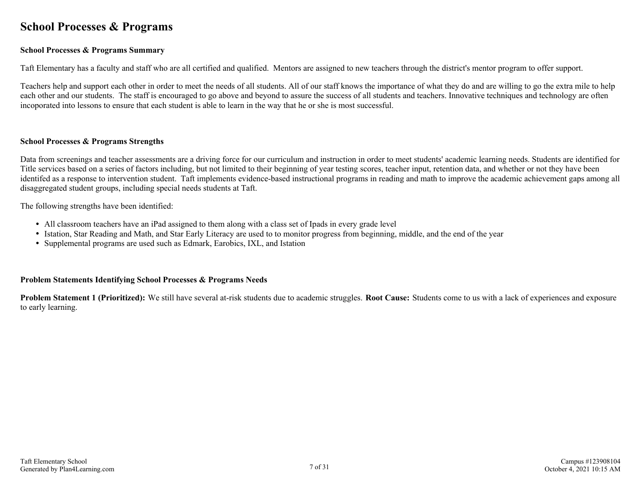## <span id="page-6-0"></span>**School Processes & Programs**

### **School Processes & Programs Summary**

Taft Elementary has a faculty and staff who are all certified and qualified. Mentors are assigned to new teachers through the district's mentor program to offer support.

Teachers help and support each other in order to meet the needs of all students. All of our staff knows the importance of what they do and are willing to go the extra mile to help each other and our students. The staff is encouraged to go above and beyond to assure the success of all students and teachers. Innovative techniques and technology are often incoporated into lessons to ensure that each student is able to learn in the way that he or she is most successful.

#### **School Processes & Programs Strengths**

Data from screenings and teacher assessments are a driving force for our curriculum and instruction in order to meet students' academic learning needs. Students are identified for Title services based on a series of factors including, but not limited to their beginning of year testing scores, teacher input, retention data, and whether or not they have been identifed as a response to intervention student. Taft implements evidence-based instructional programs in reading and math to improve the academic achievement gaps among all disaggregated student groups, including special needs students at Taft.

The following strengths have been identified:

- All classroom teachers have an iPad assigned to them along with a class set of Ipads in every grade level
- Istation, Star Reading and Math, and Star Early Literacy are used to to monitor progress from beginning, middle, and the end of the year
- Supplemental programs are used such as Edmark, Earobics, IXL, and Istation

### **Problem Statements Identifying School Processes & Programs Needs**

**Problem Statement 1 (Prioritized):** We still have several at-risk students due to academic struggles. **Root Cause:** Students come to us with a lack of experiences and exposure to early learning.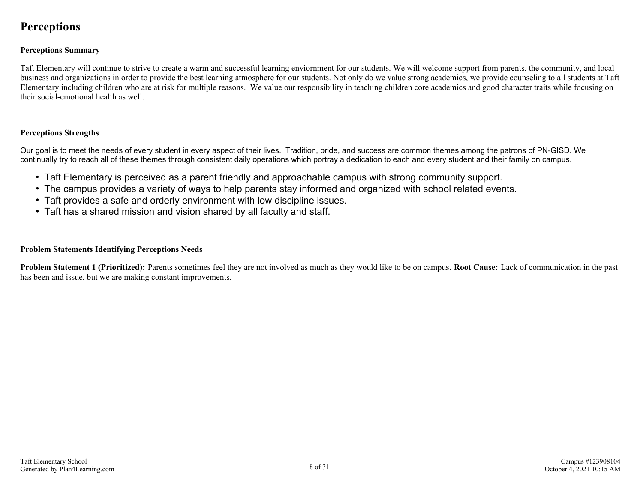## <span id="page-7-0"></span>**Perceptions**

### **Perceptions Summary**

Taft Elementary will continue to strive to create a warm and successful learning enviornment for our students. We will welcome support from parents, the community, and local business and organizations in order to provide the best learning atmosphere for our students. Not only do we value strong academics, we provide counseling to all students at Taft Elementary including children who are at risk for multiple reasons. We value our responsibility in teaching children core academics and good character traits while focusing on their social-emotional health as well.

### **Perceptions Strengths**

Our goal is to meet the needs of every student in every aspect of their lives. Tradition, pride, and success are common themes among the patrons of PN-GISD. We continually try to reach all of these themes through consistent daily operations which portray a dedication to each and every student and their family on campus.

- Taft Elementary is perceived as a parent friendly and approachable campus with strong community support.
- The campus provides a variety of ways to help parents stay informed and organized with school related events.
- Taft provides a safe and orderly environment with low discipline issues.
- Taft has a shared mission and vision shared by all faculty and staff.

### **Problem Statements Identifying Perceptions Needs**

**Problem Statement 1 (Prioritized):** Parents sometimes feel they are not involved as much as they would like to be on campus. **Root Cause:** Lack of communication in the past has been and issue, but we are making constant improvements.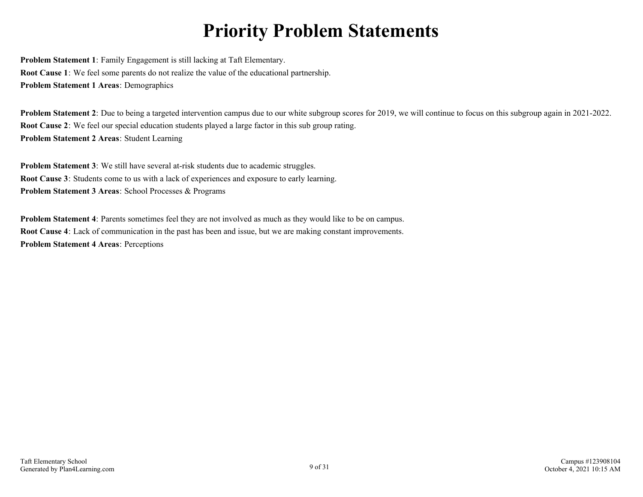## **Priority Problem Statements**

<span id="page-8-0"></span>**Problem Statement 1**: Family Engagement is still lacking at Taft Elementary. **Root Cause 1**: We feel some parents do not realize the value of the educational partnership. **Problem Statement 1 Areas**: Demographics

**Problem Statement 2**: Due to being a targeted intervention campus due to our white subgroup scores for 2019, we will continue to focus on this subgroup again in 2021-2022. **Root Cause 2**: We feel our special education students played a large factor in this sub group rating. **Problem Statement 2 Areas**: Student Learning

**Problem Statement 3**: We still have several at-risk students due to academic struggles. **Root Cause 3**: Students come to us with a lack of experiences and exposure to early learning. **Problem Statement 3 Areas**: School Processes & Programs

**Problem Statement 4**: Parents sometimes feel they are not involved as much as they would like to be on campus. **Root Cause 4**: Lack of communication in the past has been and issue, but we are making constant improvements. **Problem Statement 4 Areas**: Perceptions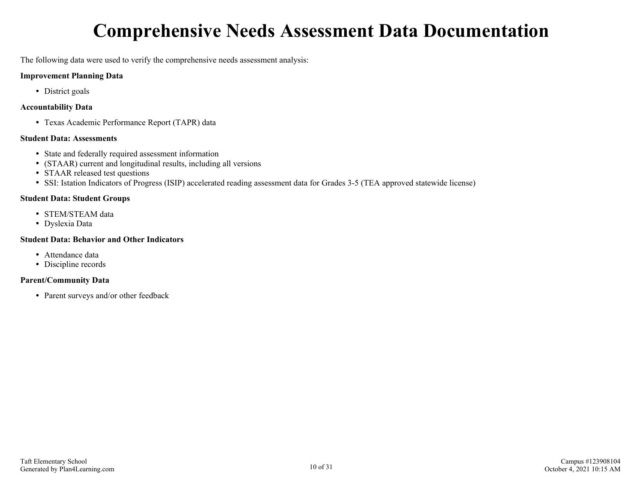## **Comprehensive Needs Assessment Data Documentation**

<span id="page-9-0"></span>The following data were used to verify the comprehensive needs assessment analysis:

### **Improvement Planning Data**

• District goals

### **Accountability Data**

Texas Academic Performance Report (TAPR) data

### **Student Data: Assessments**

- State and federally required assessment information
- (STAAR) current and longitudinal results, including all versions
- STAAR released test questions
- SSI: Istation Indicators of Progress (ISIP) accelerated reading assessment data for Grades 3-5 (TEA approved statewide license)

### **Student Data: Student Groups**

- STEM/STEAM data
- Dyslexia Data

## **Student Data: Behavior and Other Indicators**

- Attendance data
- Discipline records

## **Parent/Community Data**

• Parent surveys and/or other feedback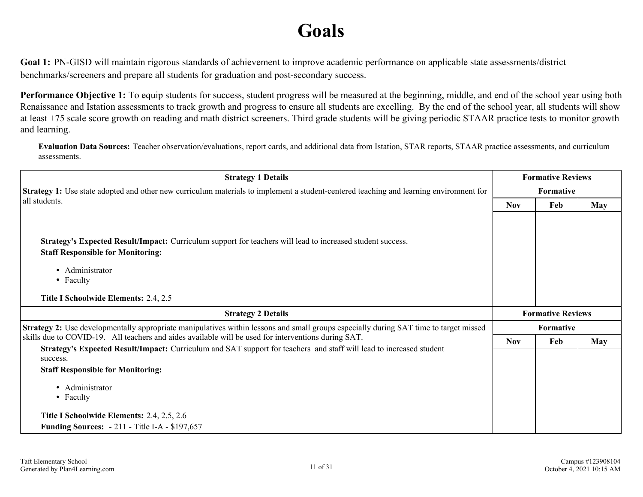## **Goals**

<span id="page-10-0"></span>**Goal 1:** PN-GISD will maintain rigorous standards of achievement to improve academic performance on applicable state assessments/district benchmarks/screeners and prepare all students for graduation and post-secondary success.

**Performance Objective 1:** To equip students for success, student progress will be measured at the beginning, middle, and end of the school year using both Renaissance and Istation assessments to track growth and progress to ensure all students are excelling. By the end of the school year, all students will show at least +75 scale score growth on reading and math district screeners. Third grade students will be giving periodic STAAR practice tests to monitor growth and learning.

**Evaluation Data Sources:** Teacher observation/evaluations, report cards, and additional data from Istation, STAR reports, STAAR practice assessments, and curriculum assessments.

| <b>Strategy 1 Details</b>                                                                                                                              |            | <b>Formative Reviews</b> |            |
|--------------------------------------------------------------------------------------------------------------------------------------------------------|------------|--------------------------|------------|
| <b>Strategy 1:</b> Use state adopted and other new curriculum materials to implement a student-centered teaching and learning environment for          |            | Formative                |            |
| all students.                                                                                                                                          | <b>Nov</b> | Feb                      | <b>May</b> |
|                                                                                                                                                        |            |                          |            |
| Strategy's Expected Result/Impact: Curriculum support for teachers will lead to increased student success.<br><b>Staff Responsible for Monitoring:</b> |            |                          |            |
| • Administrator                                                                                                                                        |            |                          |            |
| • Faculty                                                                                                                                              |            |                          |            |
| Title I Schoolwide Elements: 2.4, 2.5                                                                                                                  |            |                          |            |
| <b>Strategy 2 Details</b>                                                                                                                              |            | <b>Formative Reviews</b> |            |
| <b>Strategy 2:</b> Use developmentally appropriate manipulatives within lessons and small groups especially during SAT time to target missed           |            | Formative                |            |
| skills due to COVID-19. All teachers and aides available will be used for interventions during SAT.                                                    | <b>Nov</b> | Feb                      | <b>May</b> |
| Strategy's Expected Result/Impact: Curriculum and SAT support for teachers and staff will lead to increased student<br>success.                        |            |                          |            |
| <b>Staff Responsible for Monitoring:</b>                                                                                                               |            |                          |            |
| • Administrator<br>• Faculty                                                                                                                           |            |                          |            |
|                                                                                                                                                        |            |                          |            |
| Title I Schoolwide Elements: 2.4, 2.5, 2.6                                                                                                             |            |                          |            |
| <b>Funding Sources: -211 - Title I-A - \$197,657</b>                                                                                                   |            |                          |            |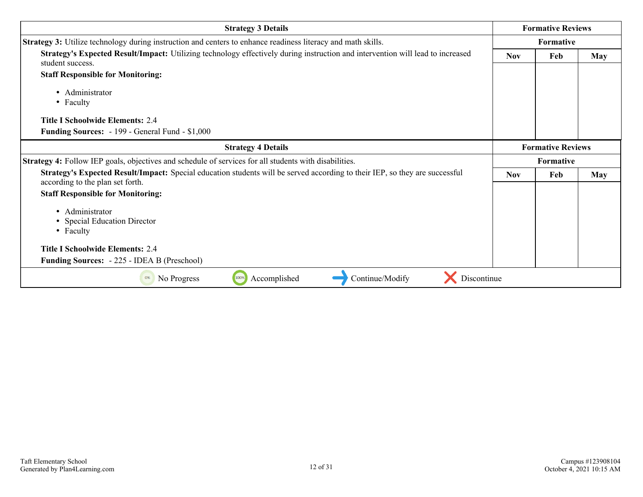| <b>Strategy 3 Details</b>                                                                                                                                       |            | <b>Formative Reviews</b> |            |
|-----------------------------------------------------------------------------------------------------------------------------------------------------------------|------------|--------------------------|------------|
| Strategy 3: Utilize technology during instruction and centers to enhance readiness literacy and math skills.                                                    |            | Formative                |            |
| Strategy's Expected Result/Impact: Utilizing technology effectively during instruction and intervention will lead to increased<br>student success.              | <b>Nov</b> | Feb                      | <b>May</b> |
| <b>Staff Responsible for Monitoring:</b>                                                                                                                        |            |                          |            |
| • Administrator<br>• Faculty                                                                                                                                    |            |                          |            |
| <b>Title I Schoolwide Elements: 2.4</b>                                                                                                                         |            |                          |            |
| <b>Funding Sources:</b> - 199 - General Fund - \$1,000                                                                                                          |            |                          |            |
| <b>Strategy 4 Details</b>                                                                                                                                       |            | <b>Formative Reviews</b> |            |
| Strategy 4: Follow IEP goals, objectives and schedule of services for all students with disabilities.                                                           |            | Formative                |            |
| Strategy's Expected Result/Impact: Special education students will be served according to their IEP, so they are successful<br>according to the plan set forth. | <b>Nov</b> | Feb                      | <b>May</b> |
| <b>Staff Responsible for Monitoring:</b>                                                                                                                        |            |                          |            |
| • Administrator<br>• Special Education Director<br>• Faculty<br><b>Title I Schoolwide Elements: 2.4</b>                                                         |            |                          |            |
| <b>Funding Sources: -225 - IDEA B (Preschool)</b>                                                                                                               |            |                          |            |
| Discontinue<br>100%<br>Accomplished<br>Continue/Modify<br>No Progress                                                                                           |            |                          |            |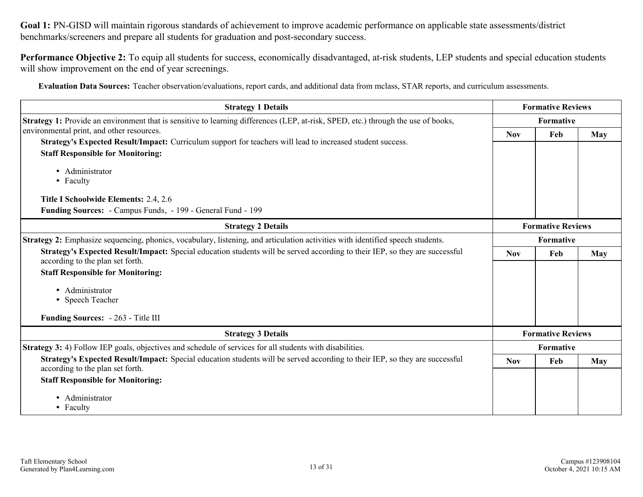**Goal 1:** PN-GISD will maintain rigorous standards of achievement to improve academic performance on applicable state assessments/district benchmarks/screeners and prepare all students for graduation and post-secondary success.

**Performance Objective 2:** To equip all students for success, economically disadvantaged, at-risk students, LEP students and special education students will show improvement on the end of year screenings.

**Evaluation Data Sources:** Teacher observation/evaluations, report cards, and additional data from mclass, STAR reports, and curriculum assessments.

| <b>Strategy 1 Details</b>                                                                                                                                       |                          | <b>Formative Reviews</b> |            |
|-----------------------------------------------------------------------------------------------------------------------------------------------------------------|--------------------------|--------------------------|------------|
| Strategy 1: Provide an environment that is sensitive to learning differences (LEP, at-risk, SPED, etc.) through the use of books,                               |                          | Formative                |            |
| environmental print, and other resources.                                                                                                                       | <b>Nov</b>               | Feb                      |            |
| Strategy's Expected Result/Impact: Curriculum support for teachers will lead to increased student success.                                                      |                          |                          | May        |
| <b>Staff Responsible for Monitoring:</b>                                                                                                                        |                          |                          |            |
| • Administrator                                                                                                                                                 |                          |                          |            |
| • Faculty                                                                                                                                                       |                          |                          |            |
| Title I Schoolwide Elements: 2.4, 2.6                                                                                                                           |                          |                          |            |
| Funding Sources: - Campus Funds, - 199 - General Fund - 199                                                                                                     |                          |                          |            |
| <b>Strategy 2 Details</b>                                                                                                                                       | <b>Formative Reviews</b> |                          |            |
| Strategy 2: Emphasize sequencing, phonics, vocabulary, listening, and articulation activities with identified speech students.                                  | Formative                |                          |            |
| Strategy's Expected Result/Impact: Special education students will be served according to their IEP, so they are successful                                     | <b>Nov</b>               | Feb                      | <b>May</b> |
| according to the plan set forth.                                                                                                                                |                          |                          |            |
| <b>Staff Responsible for Monitoring:</b>                                                                                                                        |                          |                          |            |
| • Administrator                                                                                                                                                 |                          |                          |            |
| • Speech Teacher                                                                                                                                                |                          |                          |            |
| Funding Sources: - 263 - Title III                                                                                                                              |                          |                          |            |
| <b>Strategy 3 Details</b>                                                                                                                                       |                          | <b>Formative Reviews</b> |            |
| Strategy 3: 4) Follow IEP goals, objectives and schedule of services for all students with disabilities.                                                        |                          | Formative                |            |
| Strategy's Expected Result/Impact: Special education students will be served according to their IEP, so they are successful<br>according to the plan set forth. | <b>Nov</b>               | Feb                      | May        |
| <b>Staff Responsible for Monitoring:</b>                                                                                                                        |                          |                          |            |
| · Administrator                                                                                                                                                 |                          |                          |            |
| • Faculty                                                                                                                                                       |                          |                          |            |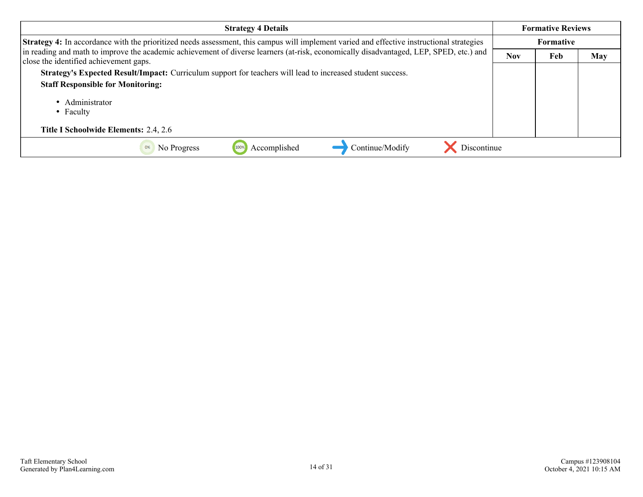| <b>Strategy 4 Details</b>                                                                                                                                                        |                  | <b>Formative Reviews</b> |     |
|----------------------------------------------------------------------------------------------------------------------------------------------------------------------------------|------------------|--------------------------|-----|
| Strategy 4: In accordance with the prioritized needs assessment, this campus will implement varied and effective instructional strategies                                        | <b>Formative</b> |                          |     |
| in reading and math to improve the academic achievement of diverse learners (at-risk, economically disadvantaged, LEP, SPED, etc.) and<br>close the identified achievement gaps. | <b>Nov</b>       | Feb                      | May |
| Strategy's Expected Result/Impact: Curriculum support for teachers will lead to increased student success.                                                                       |                  |                          |     |
| <b>Staff Responsible for Monitoring:</b>                                                                                                                                         |                  |                          |     |
| • Administrator<br>• Faculty                                                                                                                                                     |                  |                          |     |
| Title I Schoolwide Elements: 2.4, 2.6                                                                                                                                            |                  |                          |     |
| Discontinue<br>Accomplished<br>Continue/Modify<br>No Progress                                                                                                                    |                  |                          |     |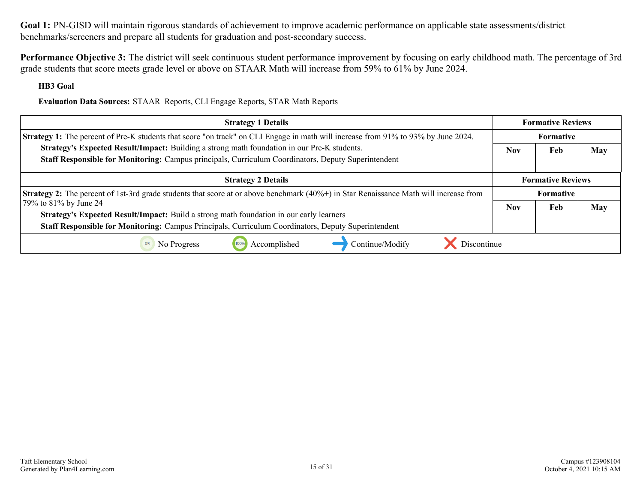**Goal 1:** PN-GISD will maintain rigorous standards of achievement to improve academic performance on applicable state assessments/district benchmarks/screeners and prepare all students for graduation and post-secondary success.

**Performance Objective 3:** The district will seek continuous student performance improvement by focusing on early childhood math. The percentage of 3rd grade students that score meets grade level or above on STAAR Math will increase from 59% to 61% by June 2024.

**HB3 Goal**

**Evaluation Data Sources:** STAAR Reports, CLI Engage Reports, STAR Math Reports

| <b>Strategy 1 Details</b>                                                                                                                    | <b>Formative Reviews</b> |                          |     |
|----------------------------------------------------------------------------------------------------------------------------------------------|--------------------------|--------------------------|-----|
| Strategy 1: The percent of Pre-K students that score "on track" on CLI Engage in math will increase from 91% to 93% by June 2024.            | <b>Formative</b>         |                          |     |
| Strategy's Expected Result/Impact: Building a strong math foundation in our Pre-K students.                                                  | <b>Nov</b>               | Feb                      | May |
| Staff Responsible for Monitoring: Campus principals, Curriculum Coordinators, Deputy Superintendent                                          |                          |                          |     |
| <b>Strategy 2 Details</b>                                                                                                                    |                          | <b>Formative Reviews</b> |     |
| <b>Strategy 2:</b> The percent of 1st-3rd grade students that score at or above benchmark (40%+) in Star Renaissance Math will increase from | <b>Formative</b>         |                          |     |
| 79% to 81% by June 24                                                                                                                        | <b>Nov</b>               | Feb                      | May |
| Strategy's Expected Result/Impact: Build a strong math foundation in our early learners                                                      |                          |                          |     |
| Staff Responsible for Monitoring: Campus Principals, Curriculum Coordinators, Deputy Superintendent                                          |                          |                          |     |
| Accomplished<br>Discontinue<br>Continue/Modify<br>No Progress<br>100%                                                                        |                          |                          |     |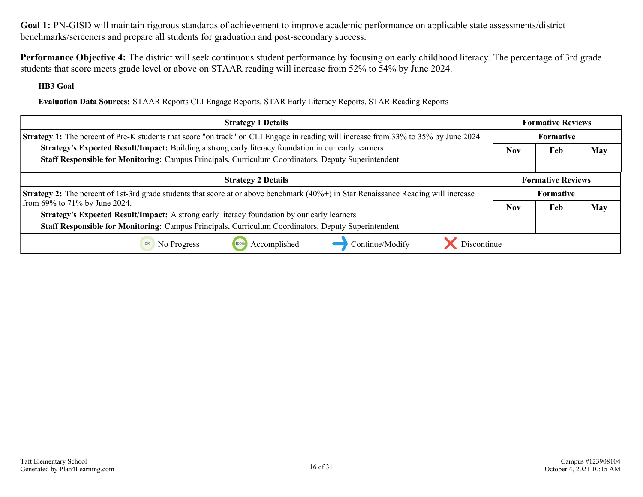**Goal 1:** PN-GISD will maintain rigorous standards of achievement to improve academic performance on applicable state assessments/district benchmarks/screeners and prepare all students for graduation and post-secondary success.

**Performance Objective 4:** The district will seek continuous student performance by focusing on early childhood literacy. The percentage of 3rd grade students that score meets grade level or above on STAAR reading will increase from 52% to 54% by June 2024.

**HB3 Goal**

**Evaluation Data Sources:** STAAR Reports CLI Engage Reports, STAR Early Literacy Reports, STAR Reading Reports

| <b>Strategy 1 Details</b>                                                                                                                  | <b>Formative Reviews</b> |                  |     |
|--------------------------------------------------------------------------------------------------------------------------------------------|--------------------------|------------------|-----|
| <b>Strategy 1:</b> The percent of Pre-K students that score "on track" on CLI Engage in reading will increase from 33% to 35% by June 2024 |                          | <b>Formative</b> |     |
| Strategy's Expected Result/Impact: Building a strong early literacy foundation in our early learners                                       | <b>Nov</b>               | Feb              | May |
| Staff Responsible for Monitoring: Campus Principals, Curriculum Coordinators, Deputy Superintendent                                        |                          |                  |     |
| <b>Strategy 2 Details</b>                                                                                                                  | <b>Formative Reviews</b> |                  |     |
| <b>Strategy 2:</b> The percent of 1st-3rd grade students that score at or above benchmark (40%+) in Star Renaissance Reading will increase | <b>Formative</b>         |                  |     |
| from 69% to 71% by June 2024.                                                                                                              | <b>Nov</b>               | Feb              | May |
| Strategy's Expected Result/Impact: A strong early literacy foundation by our early learners                                                |                          |                  |     |
| Staff Responsible for Monitoring: Campus Principals, Curriculum Coordinators, Deputy Superintendent                                        |                          |                  |     |
| Accomplished<br>Continue/Modify<br>Discontinue<br>No Progress                                                                              |                          |                  |     |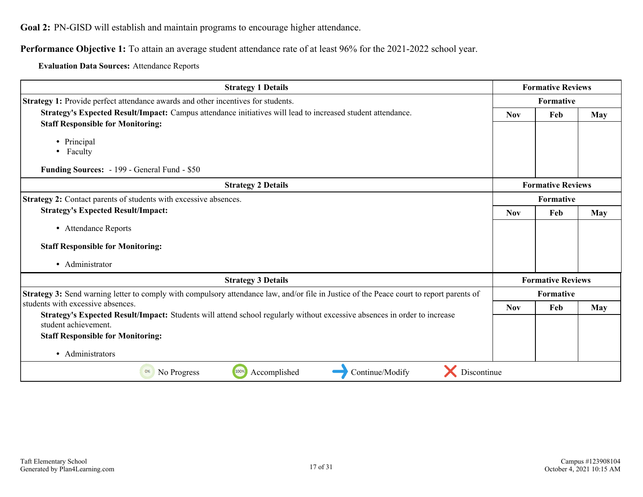<span id="page-16-0"></span>**Goal 2:** PN-GISD will establish and maintain programs to encourage higher attendance.

**Performance Objective 1:** To attain an average student attendance rate of at least 96% for the 2021-2022 school year.

**Evaluation Data Sources:** Attendance Reports

| <b>Strategy 1 Details</b>                                                                                                                        |            | <b>Formative Reviews</b> |     |  |
|--------------------------------------------------------------------------------------------------------------------------------------------------|------------|--------------------------|-----|--|
| Strategy 1: Provide perfect attendance awards and other incentives for students.                                                                 |            | Formative                |     |  |
| Strategy's Expected Result/Impact: Campus attendance initiatives will lead to increased student attendance.                                      | <b>Nov</b> | <b>May</b>               |     |  |
| <b>Staff Responsible for Monitoring:</b>                                                                                                         |            |                          |     |  |
| • Principal                                                                                                                                      |            |                          |     |  |
| • Faculty                                                                                                                                        |            |                          |     |  |
| Funding Sources: - 199 - General Fund - \$50                                                                                                     |            |                          |     |  |
| <b>Strategy 2 Details</b>                                                                                                                        |            | <b>Formative Reviews</b> |     |  |
| Strategy 2: Contact parents of students with excessive absences.                                                                                 |            | Formative                |     |  |
| <b>Strategy's Expected Result/Impact:</b>                                                                                                        | <b>Nov</b> | Feb                      | May |  |
| • Attendance Reports                                                                                                                             |            |                          |     |  |
| <b>Staff Responsible for Monitoring:</b>                                                                                                         |            |                          |     |  |
| • Administrator                                                                                                                                  |            |                          |     |  |
| <b>Strategy 3 Details</b>                                                                                                                        |            | <b>Formative Reviews</b> |     |  |
| Strategy 3: Send warning letter to comply with compulsory attendance law, and/or file in Justice of the Peace court to report parents of         |            | Formative                |     |  |
| students with excessive absences.                                                                                                                | <b>Nov</b> | Feb                      | May |  |
| Strategy's Expected Result/Impact: Students will attend school regularly without excessive absences in order to increase<br>student achievement. |            |                          |     |  |
| <b>Staff Responsible for Monitoring:</b>                                                                                                         |            |                          |     |  |
| • Administrators                                                                                                                                 |            |                          |     |  |
| 100%<br>Accomplished<br>Continue/Modify<br>No Progress<br>Discontinue<br>0%                                                                      |            |                          |     |  |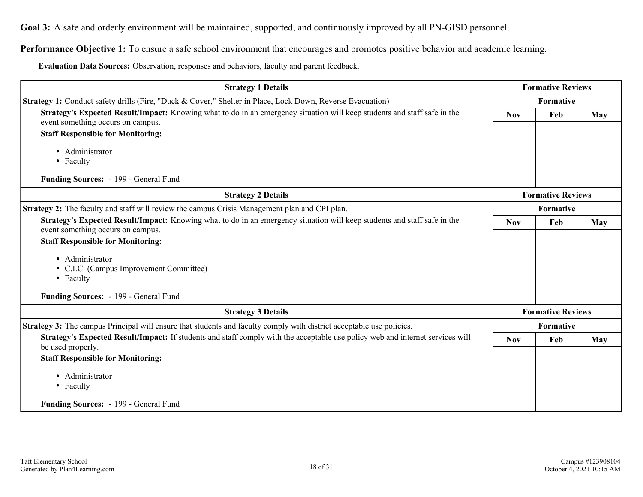<span id="page-17-0"></span>**Goal 3:** A safe and orderly environment will be maintained, supported, and continuously improved by all PN-GISD personnel.

**Performance Objective 1:** To ensure a safe school environment that encourages and promotes positive behavior and academic learning.

**Evaluation Data Sources:** Observation, responses and behaviors, faculty and parent feedback.

| <b>Strategy 1 Details</b>                                                                                                                                     |            | <b>Formative Reviews</b> |            |
|---------------------------------------------------------------------------------------------------------------------------------------------------------------|------------|--------------------------|------------|
| Strategy 1: Conduct safety drills (Fire, "Duck & Cover," Shelter in Place, Lock Down, Reverse Evacuation)                                                     |            | Formative                |            |
| Strategy's Expected Result/Impact: Knowing what to do in an emergency situation will keep students and staff safe in the<br>event something occurs on campus. | <b>Nov</b> | Feb                      | <b>May</b> |
| <b>Staff Responsible for Monitoring:</b>                                                                                                                      |            |                          |            |
| · Administrator<br>• Faculty                                                                                                                                  |            |                          |            |
| Funding Sources: - 199 - General Fund                                                                                                                         |            |                          |            |
| <b>Strategy 2 Details</b>                                                                                                                                     |            | <b>Formative Reviews</b> |            |
| Strategy 2: The faculty and staff will review the campus Crisis Management plan and CPI plan.                                                                 |            | Formative                |            |
| Strategy's Expected Result/Impact: Knowing what to do in an emergency situation will keep students and staff safe in the                                      | <b>Nov</b> | Feb                      | May        |
| event something occurs on campus.                                                                                                                             |            |                          |            |
| <b>Staff Responsible for Monitoring:</b>                                                                                                                      |            |                          |            |
| • Administrator                                                                                                                                               |            |                          |            |
| • C.I.C. (Campus Improvement Committee)                                                                                                                       |            |                          |            |
| • Faculty                                                                                                                                                     |            |                          |            |
| Funding Sources: - 199 - General Fund                                                                                                                         |            |                          |            |
| <b>Strategy 3 Details</b>                                                                                                                                     |            | <b>Formative Reviews</b> |            |
| <b>Strategy 3:</b> The campus Principal will ensure that students and faculty comply with district acceptable use policies.                                   |            | Formative                |            |
| Strategy's Expected Result/Impact: If students and staff comply with the acceptable use policy web and internet services will<br>be used properly.            | <b>Nov</b> | Feb                      | <b>May</b> |
| <b>Staff Responsible for Monitoring:</b>                                                                                                                      |            |                          |            |
| • Administrator                                                                                                                                               |            |                          |            |
| • Faculty                                                                                                                                                     |            |                          |            |
|                                                                                                                                                               |            |                          |            |
| Funding Sources: - 199 - General Fund                                                                                                                         |            |                          |            |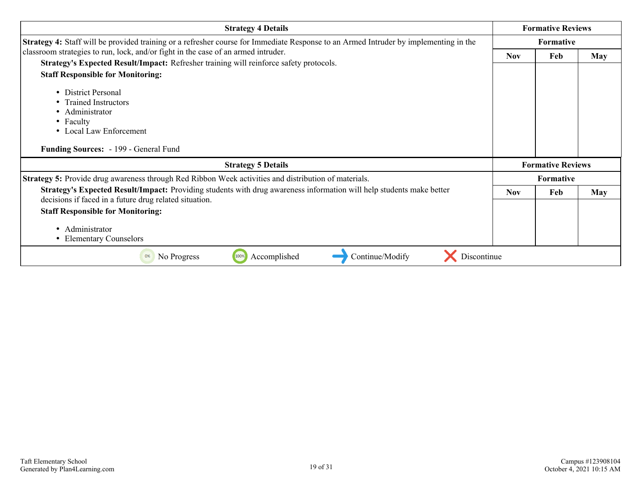| <b>Strategy 4 Details</b>                                                                                                                                                      |            | <b>Formative Reviews</b> |            |
|--------------------------------------------------------------------------------------------------------------------------------------------------------------------------------|------------|--------------------------|------------|
| <b>Strategy 4:</b> Staff will be provided training or a refresher course for Immediate Response to an Armed Intruder by implementing in the                                    |            | <b>Formative</b>         |            |
| classroom strategies to run, lock, and/or fight in the case of an armed intruder.                                                                                              | <b>Nov</b> | Feb                      | May        |
| Strategy's Expected Result/Impact: Refresher training will reinforce safety protocols.                                                                                         |            |                          |            |
| <b>Staff Responsible for Monitoring:</b>                                                                                                                                       |            |                          |            |
| • District Personal                                                                                                                                                            |            |                          |            |
| • Trained Instructors                                                                                                                                                          |            |                          |            |
| Administrator                                                                                                                                                                  |            |                          |            |
| • Faculty                                                                                                                                                                      |            |                          |            |
| • Local Law Enforcement                                                                                                                                                        |            |                          |            |
| Funding Sources: - 199 - General Fund                                                                                                                                          |            |                          |            |
| <b>Strategy 5 Details</b>                                                                                                                                                      |            | <b>Formative Reviews</b> |            |
| Strategy 5: Provide drug awareness through Red Ribbon Week activities and distribution of materials.                                                                           |            | Formative                |            |
| Strategy's Expected Result/Impact: Providing students with drug awareness information will help students make better<br>decisions if faced in a future drug related situation. | <b>Nov</b> | Feb                      | <b>May</b> |
| <b>Staff Responsible for Monitoring:</b>                                                                                                                                       |            |                          |            |
| • Administrator<br>• Elementary Counselors                                                                                                                                     |            |                          |            |
| 100%<br>Accomplished<br>Continue/Modify<br>Discontinue<br>0%<br>No Progress                                                                                                    |            |                          |            |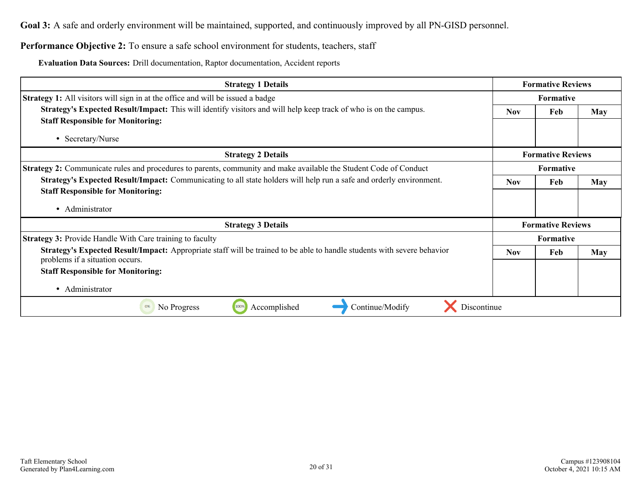**Goal 3:** A safe and orderly environment will be maintained, supported, and continuously improved by all PN-GISD personnel.

## Performance Objective 2: To ensure a safe school environment for students, teachers, staff

**Evaluation Data Sources:** Drill documentation, Raptor documentation, Accident reports

| <b>Strategy 1 Details</b>                                                                                                                                  | <b>Formative Reviews</b> |                                 |            |  |
|------------------------------------------------------------------------------------------------------------------------------------------------------------|--------------------------|---------------------------------|------------|--|
| <b>Strategy 1:</b> All visitors will sign in at the office and will be issued a badge                                                                      | <b>Formative</b>         |                                 |            |  |
| <b>Strategy's Expected Result/Impact:</b> This will identify visitors and will help keep track of who is on the campus.                                    |                          | <b>Nov</b><br>Feb<br><b>May</b> |            |  |
| <b>Staff Responsible for Monitoring:</b>                                                                                                                   |                          |                                 |            |  |
| • Secretary/Nurse                                                                                                                                          |                          |                                 |            |  |
| <b>Strategy 2 Details</b>                                                                                                                                  |                          | <b>Formative Reviews</b>        |            |  |
| <b>Strategy 2:</b> Communicate rules and procedures to parents, community and make available the Student Code of Conduct                                   |                          | Formative                       |            |  |
| Strategy's Expected Result/Impact: Communicating to all state holders will help run a safe and orderly environment.                                        | <b>Nov</b><br>Feb        |                                 | <b>May</b> |  |
| <b>Staff Responsible for Monitoring:</b>                                                                                                                   |                          |                                 |            |  |
| • Administrator                                                                                                                                            |                          |                                 |            |  |
| <b>Strategy 3 Details</b>                                                                                                                                  |                          | <b>Formative Reviews</b>        |            |  |
| <b>Strategy 3: Provide Handle With Care training to faculty</b>                                                                                            |                          | <b>Formative</b>                |            |  |
| Strategy's Expected Result/Impact: Appropriate staff will be trained to be able to handle students with severe behavior<br>problems if a situation occurs. | <b>Nov</b><br>Feb        |                                 | <b>May</b> |  |
| <b>Staff Responsible for Monitoring:</b>                                                                                                                   |                          |                                 |            |  |
| • Administrator                                                                                                                                            |                          |                                 |            |  |
| 100%<br>Accomplished<br>Continue/Modify<br>Discontinue<br>0%<br>No Progress                                                                                |                          |                                 |            |  |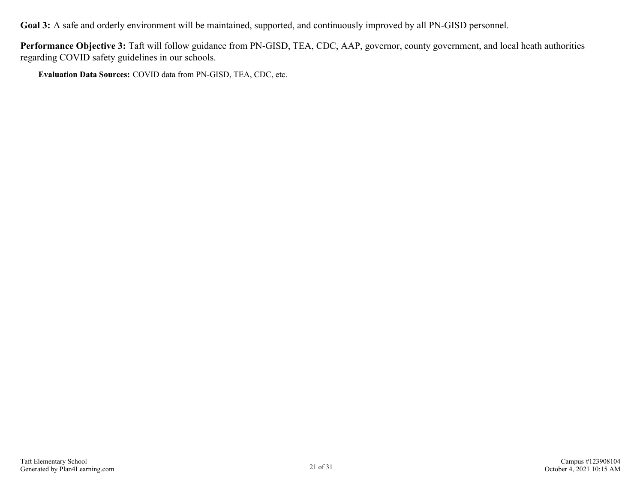**Goal 3:** A safe and orderly environment will be maintained, supported, and continuously improved by all PN-GISD personnel.

**Performance Objective 3:** Taft will follow guidance from PN-GISD, TEA, CDC, AAP, governor, county government, and local heath authorities regarding COVID safety guidelines in our schools.

**Evaluation Data Sources:** COVID data from PN-GISD, TEA, CDC, etc.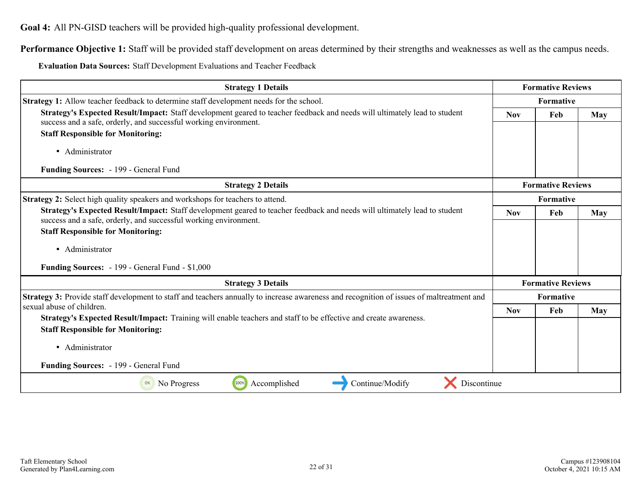<span id="page-21-0"></span>**Goal 4:** All PN-GISD teachers will be provided high-quality professional development.

**Performance Objective 1:** Staff will be provided staff development on areas determined by their strengths and weaknesses as well as the campus needs.

**Evaluation Data Sources:** Staff Development Evaluations and Teacher Feedback

| <b>Strategy 1 Details</b>                                                                                                                                                                     |            | <b>Formative Reviews</b> |            |  |
|-----------------------------------------------------------------------------------------------------------------------------------------------------------------------------------------------|------------|--------------------------|------------|--|
| <b>Strategy 1:</b> Allow teacher feedback to determine staff development needs for the school.                                                                                                |            | Formative                |            |  |
| Strategy's Expected Result/Impact: Staff development geared to teacher feedback and needs will ultimately lead to student<br>success and a safe, orderly, and successful working environment. | <b>Nov</b> | Feb                      | <b>May</b> |  |
| <b>Staff Responsible for Monitoring:</b>                                                                                                                                                      |            |                          |            |  |
| • Administrator                                                                                                                                                                               |            |                          |            |  |
| Funding Sources: - 199 - General Fund                                                                                                                                                         |            |                          |            |  |
| <b>Strategy 2 Details</b>                                                                                                                                                                     |            | <b>Formative Reviews</b> |            |  |
| <b>Strategy 2:</b> Select high quality speakers and workshops for teachers to attend.                                                                                                         |            | <b>Formative</b>         |            |  |
| Strategy's Expected Result/Impact: Staff development geared to teacher feedback and needs will ultimately lead to student<br>success and a safe, orderly, and successful working environment. | <b>Nov</b> | Feb                      | May        |  |
| <b>Staff Responsible for Monitoring:</b>                                                                                                                                                      |            |                          |            |  |
| • Administrator                                                                                                                                                                               |            |                          |            |  |
| <b>Funding Sources:</b> - 199 - General Fund - \$1,000                                                                                                                                        |            |                          |            |  |
| <b>Strategy 3 Details</b>                                                                                                                                                                     |            | <b>Formative Reviews</b> |            |  |
| Strategy 3: Provide staff development to staff and teachers annually to increase awareness and recognition of issues of maltreatment and                                                      |            | <b>Formative</b>         |            |  |
| sexual abuse of children.                                                                                                                                                                     | <b>Nov</b> | Feb                      | May        |  |
| Strategy's Expected Result/Impact: Training will enable teachers and staff to be effective and create awareness.                                                                              |            |                          |            |  |
| <b>Staff Responsible for Monitoring:</b>                                                                                                                                                      |            |                          |            |  |
| • Administrator                                                                                                                                                                               |            |                          |            |  |
| Funding Sources: - 199 - General Fund                                                                                                                                                         |            |                          |            |  |
| 100%<br>Continue/Modify<br>Discontinue<br>No Progress<br>Accomplished<br>0%                                                                                                                   |            |                          |            |  |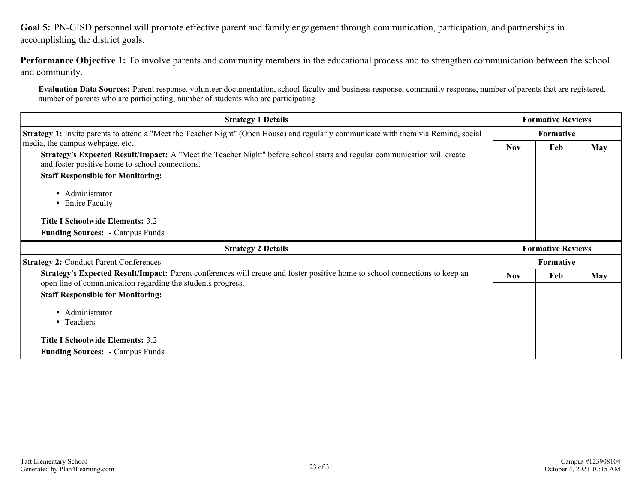<span id="page-22-0"></span>**Goal 5:** PN-GISD personnel will promote effective parent and family engagement through communication, participation, and partnerships in accomplishing the district goals.

**Performance Objective 1:** To involve parents and community members in the educational process and to strengthen communication between the school and community.

**Evaluation Data Sources:** Parent response, volunteer documentation, school faculty and business response, community response, number of parents that are registered, number of parents who are participating, number of students who are participating

| <b>Strategy 1 Details</b>                                                                                                                                                                                                                                                                                                                                                              |            | <b>Formative Reviews</b> |                  |  |  |
|----------------------------------------------------------------------------------------------------------------------------------------------------------------------------------------------------------------------------------------------------------------------------------------------------------------------------------------------------------------------------------------|------------|--------------------------|------------------|--|--|
| <b>Strategy 1:</b> Invite parents to attend a "Meet the Teacher Night" (Open House) and regularly communicate with them via Remind, social                                                                                                                                                                                                                                             |            | Formative                |                  |  |  |
| media, the campus webpage, etc.<br>Strategy's Expected Result/Impact: A "Meet the Teacher Night" before school starts and regular communication will create<br>and foster positive home to school connections.<br><b>Staff Responsible for Monitoring:</b><br>• Administrator<br>• Entire Faculty<br><b>Title I Schoolwide Elements: 3.2</b><br><b>Funding Sources: - Campus Funds</b> | <b>Nov</b> | Feb                      | May              |  |  |
| <b>Strategy 2 Details</b>                                                                                                                                                                                                                                                                                                                                                              |            | <b>Formative Reviews</b> |                  |  |  |
| <b>Strategy 2: Conduct Parent Conferences</b>                                                                                                                                                                                                                                                                                                                                          |            |                          | <b>Formative</b> |  |  |
| Strategy's Expected Result/Impact: Parent conferences will create and foster positive home to school connections to keep an<br>open line of communication regarding the students progress.                                                                                                                                                                                             | <b>Nov</b> | Feb                      | May              |  |  |
| <b>Staff Responsible for Monitoring:</b><br>• Administrator<br>• Teachers<br><b>Title I Schoolwide Elements: 3.2</b><br><b>Funding Sources: - Campus Funds</b>                                                                                                                                                                                                                         |            |                          |                  |  |  |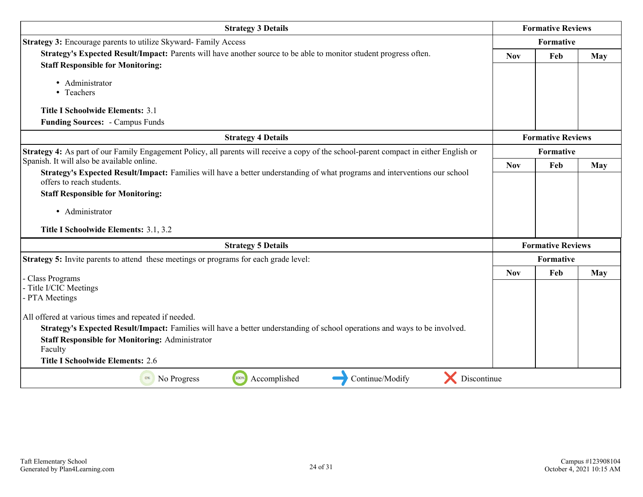| <b>Strategy 3 Details</b>                                                                                                                                                                                                                                                                          |            | <b>Formative Reviews</b> |     |
|----------------------------------------------------------------------------------------------------------------------------------------------------------------------------------------------------------------------------------------------------------------------------------------------------|------------|--------------------------|-----|
| <b>Strategy 3:</b> Encourage parents to utilize Skyward-Family Access                                                                                                                                                                                                                              |            | Formative                |     |
| Strategy's Expected Result/Impact: Parents will have another source to be able to monitor student progress often.<br><b>Staff Responsible for Monitoring:</b>                                                                                                                                      | <b>Nov</b> | Feb                      | May |
| • Administrator<br>• Teachers                                                                                                                                                                                                                                                                      |            |                          |     |
| <b>Title I Schoolwide Elements: 3.1</b><br><b>Funding Sources: - Campus Funds</b>                                                                                                                                                                                                                  |            |                          |     |
| <b>Strategy 4 Details</b>                                                                                                                                                                                                                                                                          |            | <b>Formative Reviews</b> |     |
| Strategy 4: As part of our Family Engagement Policy, all parents will receive a copy of the school-parent compact in either English or                                                                                                                                                             |            | Formative                |     |
| Spanish. It will also be available online.<br>Strategy's Expected Result/Impact: Families will have a better understanding of what programs and interventions our school                                                                                                                           | <b>Nov</b> | Feb                      | May |
| offers to reach students.<br><b>Staff Responsible for Monitoring:</b>                                                                                                                                                                                                                              |            |                          |     |
| • Administrator                                                                                                                                                                                                                                                                                    |            |                          |     |
| Title I Schoolwide Elements: 3.1, 3.2                                                                                                                                                                                                                                                              |            |                          |     |
| <b>Strategy 5 Details</b>                                                                                                                                                                                                                                                                          |            | <b>Formative Reviews</b> |     |
| Strategy 5: Invite parents to attend these meetings or programs for each grade level:                                                                                                                                                                                                              |            | Formative                |     |
| - Class Programs<br>- Title I/CIC Meetings<br>- PTA Meetings                                                                                                                                                                                                                                       | <b>Nov</b> | Feb                      | May |
| All offered at various times and repeated if needed.<br>Strategy's Expected Result/Impact: Families will have a better understanding of school operations and ways to be involved.<br><b>Staff Responsible for Monitoring: Administrator</b><br>Faculty<br><b>Title I Schoolwide Elements: 2.6</b> |            |                          |     |
| Discontinue<br>100%<br>Accomplished<br>Continue/Modify<br>No Progress<br>0%                                                                                                                                                                                                                        |            |                          |     |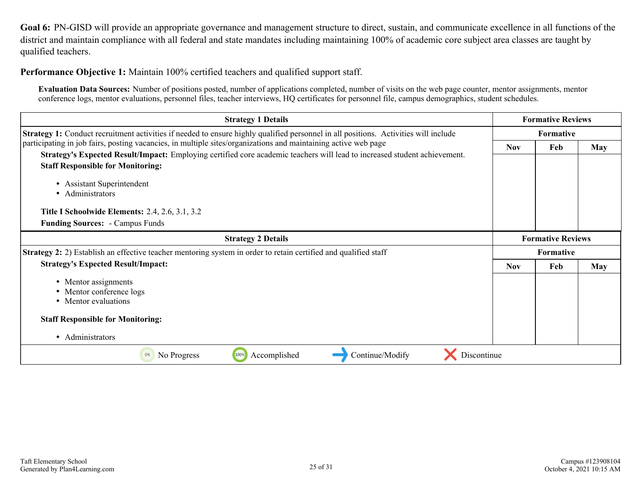<span id="page-24-0"></span>**Goal 6:** PN-GISD will provide an appropriate governance and management structure to direct, sustain, and communicate excellence in all functions of the district and maintain compliance with all federal and state mandates including maintaining 100% of academic core subject area classes are taught by qualified teachers.

**Performance Objective 1:** Maintain 100% certified teachers and qualified support staff.

**Evaluation Data Sources:** Number of positions posted, number of applications completed, number of visits on the web page counter, mentor assignments, mentor conference logs, mentor evaluations, personnel files, teacher interviews, HQ certificates for personnel file, campus demographics, student schedules.

| <b>Strategy 1 Details</b>                                                                                                                                                                                                                   | <b>Formative Reviews</b> |                          |            |  |  |
|---------------------------------------------------------------------------------------------------------------------------------------------------------------------------------------------------------------------------------------------|--------------------------|--------------------------|------------|--|--|
| <b>Strategy 1:</b> Conduct recruitment activities if needed to ensure highly qualified personnel in all positions. Activities will include                                                                                                  |                          |                          | Formative  |  |  |
| participating in job fairs, posting vacancies, in multiple sites/organizations and maintaining active web page<br>Strategy's Expected Result/Impact: Employing certified core academic teachers will lead to increased student achievement. | <b>Nov</b>               | Feb                      | May        |  |  |
| <b>Staff Responsible for Monitoring:</b>                                                                                                                                                                                                    |                          |                          |            |  |  |
| <b>Assistant Superintendent</b><br>٠<br>• Administrators                                                                                                                                                                                    |                          |                          |            |  |  |
| <b>Title I Schoolwide Elements: 2.4, 2.6, 3.1, 3.2</b>                                                                                                                                                                                      |                          |                          |            |  |  |
| <b>Funding Sources: - Campus Funds</b>                                                                                                                                                                                                      |                          |                          |            |  |  |
| <b>Strategy 2 Details</b>                                                                                                                                                                                                                   |                          | <b>Formative Reviews</b> |            |  |  |
| <b>Strategy 2:</b> 2) Establish an effective teacher mentoring system in order to retain certified and qualified staff                                                                                                                      |                          | Formative                |            |  |  |
| <b>Strategy's Expected Result/Impact:</b>                                                                                                                                                                                                   | <b>Nov</b>               | Feb                      | <b>May</b> |  |  |
| • Mentor assignments<br>• Mentor conference logs<br>• Mentor evaluations                                                                                                                                                                    |                          |                          |            |  |  |
| <b>Staff Responsible for Monitoring:</b>                                                                                                                                                                                                    |                          |                          |            |  |  |
| • Administrators                                                                                                                                                                                                                            |                          |                          |            |  |  |
| Accomplished<br>100%<br>Continue/Modify<br>No Progress<br>Discontinue<br>0%                                                                                                                                                                 |                          |                          |            |  |  |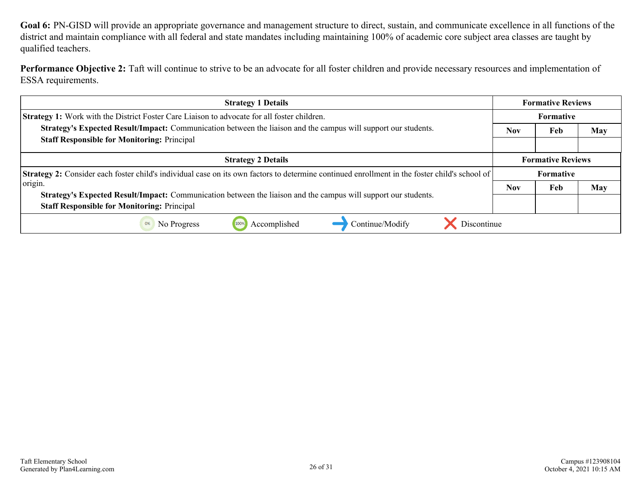**Goal 6:** PN-GISD will provide an appropriate governance and management structure to direct, sustain, and communicate excellence in all functions of the district and maintain compliance with all federal and state mandates including maintaining 100% of academic core subject area classes are taught by qualified teachers.

Performance Objective 2: Taft will continue to strive to be an advocate for all foster children and provide necessary resources and implementation of ESSA requirements.

| <b>Strategy 1 Details</b>                                                                                                                            | <b>Formative Reviews</b> |                          |     |
|------------------------------------------------------------------------------------------------------------------------------------------------------|--------------------------|--------------------------|-----|
| <b>Strategy 1:</b> Work with the District Foster Care Liaison to advocate for all foster children.                                                   | <b>Formative</b>         |                          |     |
| Strategy's Expected Result/Impact: Communication between the liaison and the campus will support our students.                                       | <b>Nov</b>               | Feb                      | May |
| <b>Staff Responsible for Monitoring: Principal</b>                                                                                                   |                          |                          |     |
| <b>Strategy 2 Details</b>                                                                                                                            |                          | <b>Formative Reviews</b> |     |
| <b>Strategy 2:</b> Consider each foster child's individual case on its own factors to determine continued enrollment in the foster child's school of |                          | <b>Formative</b>         |     |
| origin.                                                                                                                                              |                          | Feb                      | May |
| <b>Strategy's Expected Result/Impact:</b> Communication between the liaison and the campus will support our students.                                |                          |                          |     |
| <b>Staff Responsible for Monitoring: Principal</b>                                                                                                   |                          |                          |     |
| Discontinue<br>Accomplished<br>Continue/Modify<br>0%<br>No Progress                                                                                  |                          |                          |     |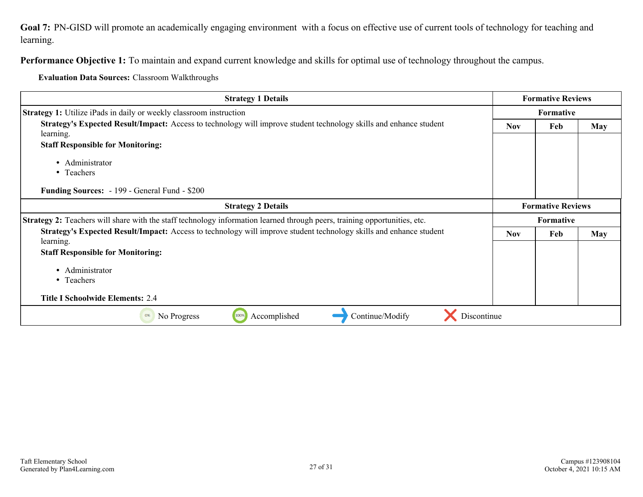<span id="page-26-0"></span>**Goal 7:** PN-GISD will promote an academically engaging environment with a focus on effective use of current tools of technology for teaching and learning.

**Performance Objective 1:** To maintain and expand current knowledge and skills for optimal use of technology throughout the campus.

**Evaluation Data Sources:** Classroom Walkthroughs

| <b>Strategy 1 Details</b>                                                                                                       |            | <b>Formative Reviews</b> |            |
|---------------------------------------------------------------------------------------------------------------------------------|------------|--------------------------|------------|
| <b>Strategy 1:</b> Utilize iPads in daily or weekly classroom instruction                                                       |            | <b>Formative</b>         |            |
| Strategy's Expected Result/Impact: Access to technology will improve student technology skills and enhance student<br>learning. | <b>Nov</b> | Feb                      | <b>May</b> |
| <b>Staff Responsible for Monitoring:</b>                                                                                        |            |                          |            |
| • Administrator<br>• Teachers<br><b>Funding Sources:</b> - 199 - General Fund - \$200                                           |            |                          |            |
| <b>Strategy 2 Details</b>                                                                                                       |            | <b>Formative Reviews</b> |            |
| Strategy 2: Teachers will share with the staff technology information learned through peers, training opportunities, etc.       |            | Formative                |            |
| Strategy's Expected Result/Impact: Access to technology will improve student technology skills and enhance student<br>learning. | <b>Nov</b> | Feb                      | <b>May</b> |
| <b>Staff Responsible for Monitoring:</b>                                                                                        |            |                          |            |
| • Administrator<br>• Teachers                                                                                                   |            |                          |            |
| <b>Title I Schoolwide Elements: 2.4</b>                                                                                         |            |                          |            |
| Accomplished<br>Continue/Modify<br>Discontinue<br>100%<br>No Progress<br>0%                                                     |            |                          |            |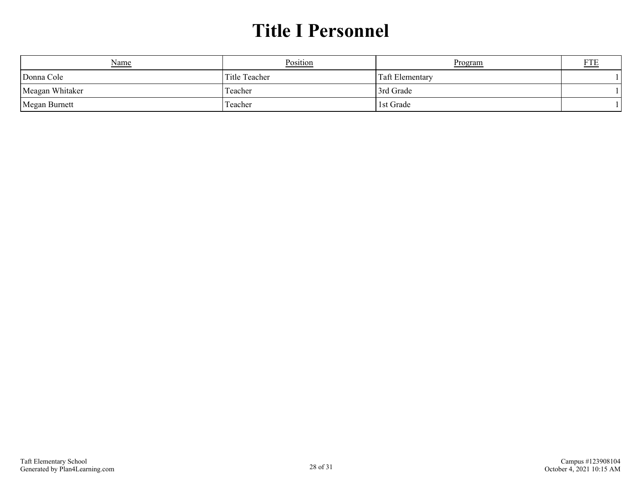## **Title I Personnel**

<span id="page-27-0"></span>

| <u>Name</u>     | Position      | Program                | <b>FTF</b> |
|-----------------|---------------|------------------------|------------|
| Donna Cole      | Title Teacher | <b>Taft Elementary</b> |            |
| Meagan Whitaker | Teacher       | 3rd Grade              |            |
| Megan Burnett   | Teacher       | 1st Grade              |            |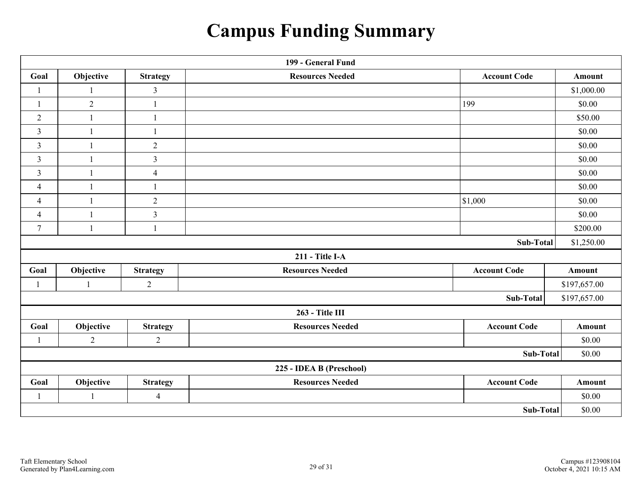## **Campus Funding Summary**

<span id="page-28-0"></span>

| 199 - General Fund       |                 |                         |                         |                     |               |  |
|--------------------------|-----------------|-------------------------|-------------------------|---------------------|---------------|--|
| Goal                     | Objective       | <b>Strategy</b>         | <b>Resources Needed</b> | <b>Account Code</b> | <b>Amount</b> |  |
|                          |                 | 3                       |                         |                     | \$1,000.00    |  |
| $\overline{1}$           | $\overline{2}$  | 1                       |                         | 199                 | \$0.00        |  |
| $\overline{2}$           | $\mathbf{1}$    | $\mathbf{1}$            |                         |                     | \$50.00       |  |
| 3                        | $\mathbf{1}$    | $\mathbf{1}$            |                         |                     | \$0.00        |  |
| $\overline{3}$           | $\mathbf{1}$    | $\sqrt{2}$              |                         |                     | \$0.00        |  |
| $\overline{3}$           | $\mathbf{1}$    | $\overline{3}$          |                         |                     | \$0.00        |  |
| $\overline{3}$           | $\mathbf{1}$    | $\overline{4}$          |                         |                     | \$0.00        |  |
| $\overline{4}$           | $\mathbf{1}$    | 1                       |                         |                     | \$0.00        |  |
| $\overline{4}$           | $\mathbf{1}$    | $\overline{2}$          |                         | $\vert$ \$1,000     | \$0.00        |  |
| $\overline{4}$           | $\mathbf{1}$    | $\overline{\mathbf{3}}$ |                         |                     | \$0.00        |  |
| $\overline{7}$           | $\mathbf{1}$    | $\mathbf{1}$            |                         |                     | \$200.00      |  |
| Sub-Total                |                 |                         |                         |                     | \$1,250.00    |  |
|                          |                 |                         | 211 - Title I-A         |                     |               |  |
| Goal                     | Objective       | <b>Strategy</b>         | <b>Resources Needed</b> | <b>Account Code</b> | Amount        |  |
| $\mathbf{1}$             | $\mathbf{1}$    | $\overline{2}$          |                         |                     | \$197,657.00  |  |
|                          |                 |                         |                         | Sub-Total           | \$197,657.00  |  |
|                          | 263 - Title III |                         |                         |                     |               |  |
| Goal                     | Objective       | <b>Strategy</b>         | <b>Resources Needed</b> | <b>Account Code</b> | <b>Amount</b> |  |
| 1                        | $\sqrt{2}$      | $\overline{2}$          |                         |                     | \$0.00        |  |
| <b>Sub-Total</b>         |                 |                         | \$0.00                  |                     |               |  |
| 225 - IDEA B (Preschool) |                 |                         |                         |                     |               |  |
| Goal                     | Objective       | <b>Strategy</b>         | <b>Resources Needed</b> | <b>Account Code</b> |               |  |
| $\mathbf{1}$             | $\mathbf{1}$    | $\overline{4}$          |                         |                     | \$0.00        |  |
| <b>Sub-Total</b>         |                 |                         |                         | \$0.00              |               |  |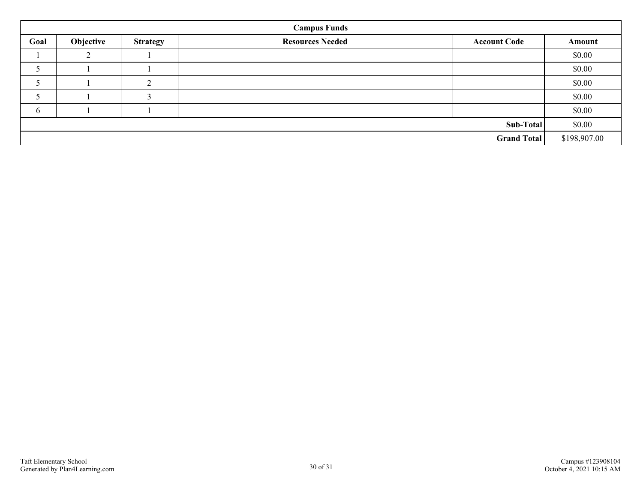| <b>Campus Funds</b> |           |                 |                         |                     |        |
|---------------------|-----------|-----------------|-------------------------|---------------------|--------|
| Goal                | Objective | <b>Strategy</b> | <b>Resources Needed</b> | <b>Account Code</b> | Amount |
|                     | $\bigcap$ |                 |                         |                     | \$0.00 |
|                     |           |                 |                         |                     | \$0.00 |
|                     |           | $\sim$          |                         |                     | \$0.00 |
|                     |           |                 |                         |                     | \$0.00 |
| 6                   |           |                 |                         |                     | \$0.00 |
| Sub-Total           |           |                 |                         | \$0.00              |        |
| Grand Total         |           |                 |                         | \$198,907.00        |        |